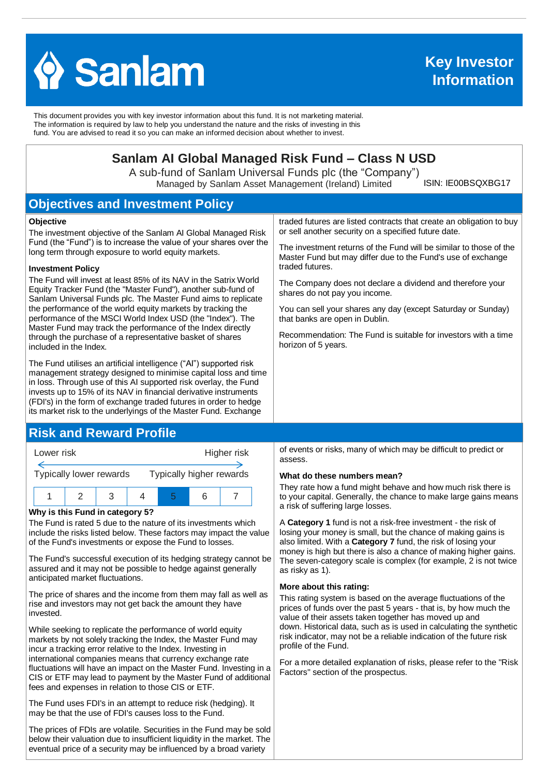

This document provides you with key investor information about this fund. It is not marketing material. The information is required by law to help you understand the nature and the risks of investing in this fund. You are advised to read it so you can make an informed decision about whether to invest.

# **Sanlam AI Global Managed Risk Fund – Class N USD**

A sub-fund of Sanlam Universal Funds plc (the "Company") Managed by Sanlam Asset Management (Ireland) Limited

ISIN: IE00BSQXBG17

# **Objectives and Investment Policy**

#### **Objective**

The investment objective of the Sanlam AI Global Managed Risk Fund (the "Fund") is to increase the value of your shares over the long term through exposure to world equity markets.

#### **Investment Policy**

The Fund will invest at least 85% of its NAV in the Satrix World Equity Tracker Fund (the "Master Fund"), another sub-fund of Sanlam Universal Funds plc. The Master Fund aims to replicate the performance of the world equity markets by tracking the performance of the MSCI World Index USD (the "Index"). The Master Fund may track the performance of the Index directly through the purchase of a representative basket of shares included in the Index.

The Fund utilises an artificial intelligence ("AI") supported risk management strategy designed to minimise capital loss and time in loss. Through use of this AI supported risk overlay, the Fund invests up to 15% of its NAV in financial derivative instruments (FDI's) in the form of exchange traded futures in order to hedge its market risk to the underlyings of the Master Fund. Exchange

## **Risk and Reward Profile**



#### **Why is this Fund in category 5?**

The Fund is rated 5 due to the nature of its investments which include the risks listed below. These factors may impact the value of the Fund's investments or expose the Fund to losses.

The Fund's successful execution of its hedging strategy cannot be assured and it may not be possible to hedge against generally anticipated market fluctuations.

The price of shares and the income from them may fall as well as rise and investors may not get back the amount they have invested.

While seeking to replicate the performance of world equity markets by not solely tracking the Index, the Master Fund may incur a tracking error relative to the Index. Investing in international companies means that currency exchange rate fluctuations will have an impact on the Master Fund. Investing in a CIS or ETF may lead to payment by the Master Fund of additional fees and expenses in relation to those CIS or ETF.

The Fund uses FDI's in an attempt to reduce risk (hedging). It may be that the use of FDI's causes loss to the Fund.

The prices of FDIs are volatile. Securities in the Fund may be sold below their valuation due to insufficient liquidity in the market. The eventual price of a security may be influenced by a broad variety

traded futures are listed contracts that create an obligation to buy or sell another security on a specified future date.

The investment returns of the Fund will be similar to those of the Master Fund but may differ due to the Fund's use of exchange traded futures.

The Company does not declare a dividend and therefore your shares do not pay you income.

You can sell your shares any day (except Saturday or Sunday) that banks are open in Dublin.

Recommendation: The Fund is suitable for investors with a time horizon of 5 years.

of events or risks, many of which may be difficult to predict or assess.

#### **What do these numbers mean?**

They rate how a fund might behave and how much risk there is to your capital. Generally, the chance to make large gains means a risk of suffering large losses.

A **Category 1** fund is not a risk-free investment - the risk of losing your money is small, but the chance of making gains is also limited. With a **Category 7** fund, the risk of losing your money is high but there is also a chance of making higher gains. The seven-category scale is complex (for example, 2 is not twice as risky as 1).

#### **More about this rating:**

This rating system is based on the average fluctuations of the prices of funds over the past 5 years - that is, by how much the value of their assets taken together has moved up and down. Historical data, such as is used in calculating the synthetic risk indicator, may not be a reliable indication of the future risk profile of the Fund.

For a more detailed explanation of risks, please refer to the ''Risk Factors'' section of the prospectus.